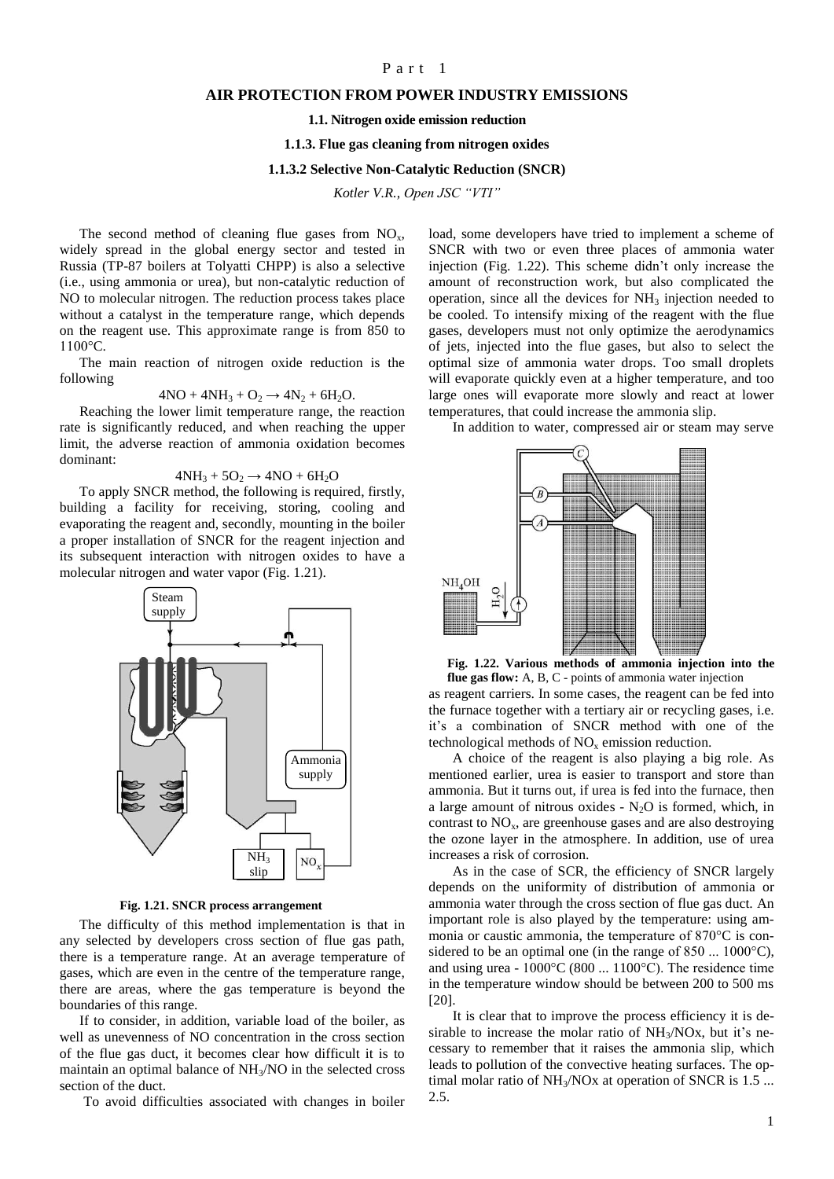# Part 1

## **AIR PROTECTION FROM POWER INDUSTRY EMISSIONS**

#### **1.1. Nitrogen oxide emission reduction**

#### **1.1.3. Flue gas cleaning from nitrogen oxides**

### **1.1.3.2 Selective Non-Catalytic Reduction (SNCR)**

*Kotler V.R., Open JSC "VTI"*

The second method of cleaning flue gases from  $NO<sub>x</sub>$ , widely spread in the global energy sector and tested in Russia (TP-87 boilers at Tolyatti CHPP) is also a selective (i.e., using ammonia or urea), but non-catalytic reduction of NO to molecular nitrogen. The reduction process takes place without a catalyst in the temperature range, which depends on the reagent use. This approximate range is from 850 to 1100°C.

The main reaction of nitrogen oxide reduction is the following

$$
4NO + 4NH3 + O2 \rightarrow 4N2 + 6H2O.
$$

Reaching the lower limit temperature range, the reaction rate is significantly reduced, and when reaching the upper limit, the adverse reaction of ammonia oxidation becomes dominant:

$$
4NH_3 + 5O_2 \rightarrow 4NO + 6H_2O
$$

To apply SNCR method, the following is required, firstly, building a facility for receiving, storing, cooling and evaporating the reagent and, secondly, mounting in the boiler a proper installation of SNCR for the reagent injection and its subsequent interaction with nitrogen oxides to have a molecular nitrogen and water vapor (Fig. 1.21).



#### **Fig. 1.21. SNCR process arrangement**

The difficulty of this method implementation is that in any selected by developers cross section of flue gas path, there is a temperature range. At an average temperature of gases, which are even in the centre of the temperature range, there are areas, where the gas temperature is beyond the boundaries of this range.

If to consider, in addition, variable load of the boiler, as well as unevenness of NO concentration in the cross section of the flue gas duct, it becomes clear how difficult it is to maintain an optimal balance of NH3/NO in the selected cross section of the duct.

To avoid difficulties associated with changes in boiler

load, some developers have tried to implement a scheme of SNCR with two or even three places of ammonia water injection (Fig. 1.22). This scheme didn't only increase the amount of reconstruction work, but also complicated the operation, since all the devices for  $NH<sub>3</sub>$  injection needed to be cooled. To intensify mixing of the reagent with the flue gases, developers must not only optimize the aerodynamics of jets, injected into the flue gases, but also to select the optimal size of ammonia water drops. Too small droplets will evaporate quickly even at a higher temperature, and too large ones will evaporate more slowly and react at lower temperatures, that could increase the ammonia slip.

In addition to water, compressed air or steam may serve



as reagent carriers. In some cases, the reagent can be fed into the furnace together with a tertiary air or recycling gases, i.e. it's a combination of SNCR method with one of the technological methods of  $NO<sub>x</sub>$  emission reduction. **Fig. 1.22. Various methods of ammonia injection into the flue gas flow:** A, B, C - points of ammonia water injection

A choice of the reagent is also playing a big role. As mentioned earlier, urea is easier to transport and store than ammonia. But it turns out, if urea is fed into the furnace, then a large amount of nitrous oxides -  $N_2O$  is formed, which, in contrast to  $NO<sub>x</sub>$ , are greenhouse gases and are also destroying the ozone layer in the atmosphere. In addition, use of urea increases a risk of corrosion.

As in the case of SCR, the efficiency of SNCR largely depends on the uniformity of distribution of ammonia or ammonia water through the cross section of flue gas duct. An important role is also played by the temperature: using ammonia or caustic ammonia, the temperature of 870°C is considered to be an optimal one (in the range of 850 ... 1000 °C), and using urea - 1000°C (800 ... 1100°C). The residence time in the temperature window should be between 200 to 500 ms [20].

It is clear that to improve the process efficiency it is desirable to increase the molar ratio of NH3/NOx, but it's necessary to remember that it raises the ammonia slip, which leads to pollution of the convective heating surfaces. The optimal molar ratio of  $NH<sub>3</sub>/NOX$  at operation of SNCR is 1.5 ... 2.5.